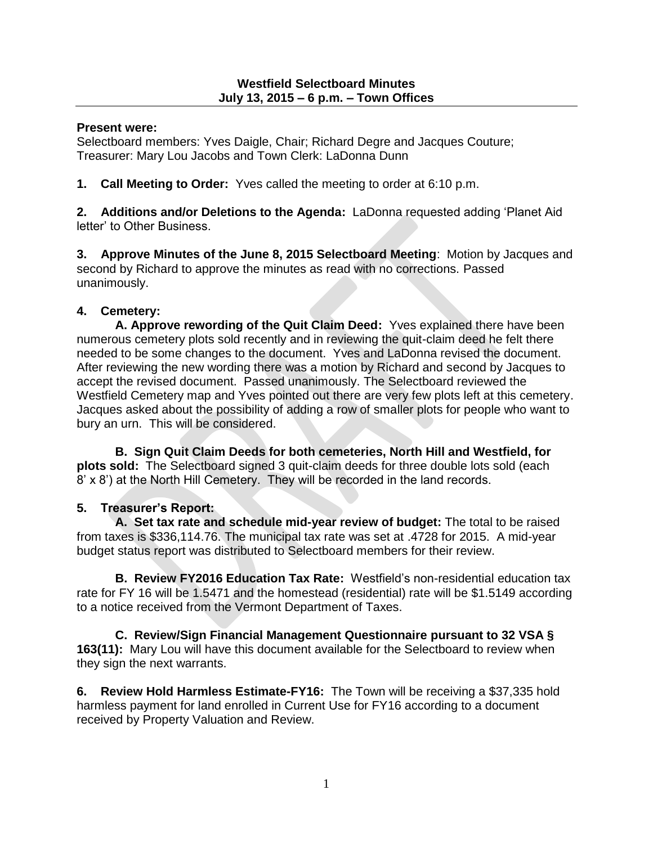#### **Present were:**

Selectboard members: Yves Daigle, Chair; Richard Degre and Jacques Couture; Treasurer: Mary Lou Jacobs and Town Clerk: LaDonna Dunn

**1. Call Meeting to Order:** Yves called the meeting to order at 6:10 p.m.

**2. Additions and/or Deletions to the Agenda:** LaDonna requested adding 'Planet Aid letter' to Other Business.

**3. Approve Minutes of the June 8, 2015 Selectboard Meeting**: Motion by Jacques and second by Richard to approve the minutes as read with no corrections. Passed unanimously.

## **4. Cemetery:**

**A. Approve rewording of the Quit Claim Deed:** Yves explained there have been numerous cemetery plots sold recently and in reviewing the quit-claim deed he felt there needed to be some changes to the document. Yves and LaDonna revised the document. After reviewing the new wording there was a motion by Richard and second by Jacques to accept the revised document. Passed unanimously. The Selectboard reviewed the Westfield Cemetery map and Yves pointed out there are very few plots left at this cemetery. Jacques asked about the possibility of adding a row of smaller plots for people who want to bury an urn. This will be considered.

**B. Sign Quit Claim Deeds for both cemeteries, North Hill and Westfield, for plots sold:** The Selectboard signed 3 quit-claim deeds for three double lots sold (each 8' x 8') at the North Hill Cemetery. They will be recorded in the land records.

# **5. Treasurer's Report:**

**A. Set tax rate and schedule mid-year review of budget:** The total to be raised from taxes is \$336,114.76. The municipal tax rate was set at .4728 for 2015. A mid-year budget status report was distributed to Selectboard members for their review.

**B. Review FY2016 Education Tax Rate:** Westfield's non-residential education tax rate for FY 16 will be 1.5471 and the homestead (residential) rate will be \$1.5149 according to a notice received from the Vermont Department of Taxes.

**C. Review/Sign Financial Management Questionnaire pursuant to 32 VSA § 163(11):** Mary Lou will have this document available for the Selectboard to review when they sign the next warrants.

**6. Review Hold Harmless Estimate-FY16:** The Town will be receiving a \$37,335 hold harmless payment for land enrolled in Current Use for FY16 according to a document received by Property Valuation and Review.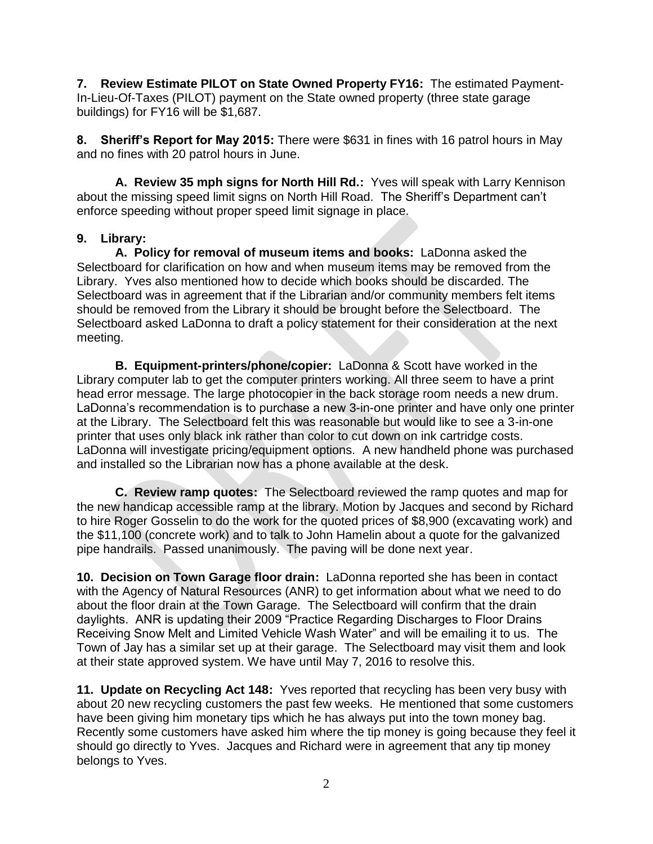**7. Review Estimate PILOT on State Owned Property FY16:** The estimated Payment-In-Lieu-Of-Taxes (PILOT) payment on the State owned property (three state garage buildings) for FY16 will be \$1,687.

**8. Sheriff's Report for May 2015:** There were \$631 in fines with 16 patrol hours in May and no fines with 20 patrol hours in June.

**A. Review 35 mph signs for North Hill Rd.:** Yves will speak with Larry Kennison about the missing speed limit signs on North Hill Road. The Sheriff's Department can't enforce speeding without proper speed limit signage in place.

### **9. Library:**

**A. Policy for removal of museum items and books:** LaDonna asked the Selectboard for clarification on how and when museum items may be removed from the Library. Yves also mentioned how to decide which books should be discarded. The Selectboard was in agreement that if the Librarian and/or community members felt items should be removed from the Library it should be brought before the Selectboard. The Selectboard asked LaDonna to draft a policy statement for their consideration at the next meeting.

**B. Equipment-printers/phone/copier:** LaDonna & Scott have worked in the Library computer lab to get the computer printers working. All three seem to have a print head error message. The large photocopier in the back storage room needs a new drum. LaDonna's recommendation is to purchase a new 3-in-one printer and have only one printer at the Library. The Selectboard felt this was reasonable but would like to see a 3-in-one printer that uses only black ink rather than color to cut down on ink cartridge costs. LaDonna will investigate pricing/equipment options. A new handheld phone was purchased and installed so the Librarian now has a phone available at the desk.

**C. Review ramp quotes:** The Selectboard reviewed the ramp quotes and map for the new handicap accessible ramp at the library. Motion by Jacques and second by Richard to hire Roger Gosselin to do the work for the quoted prices of \$8,900 (excavating work) and the \$11,100 (concrete work) and to talk to John Hamelin about a quote for the galvanized pipe handrails. Passed unanimously. The paving will be done next year.

**10. Decision on Town Garage floor drain:** LaDonna reported she has been in contact with the Agency of Natural Resources (ANR) to get information about what we need to do about the floor drain at the Town Garage. The Selectboard will confirm that the drain daylights. ANR is updating their 2009 "Practice Regarding Discharges to Floor Drains Receiving Snow Melt and Limited Vehicle Wash Water" and will be emailing it to us. The Town of Jay has a similar set up at their garage. The Selectboard may visit them and look at their state approved system. We have until May 7, 2016 to resolve this.

**11. Update on Recycling Act 148:** Yves reported that recycling has been very busy with about 20 new recycling customers the past few weeks. He mentioned that some customers have been giving him monetary tips which he has always put into the town money bag. Recently some customers have asked him where the tip money is going because they feel it should go directly to Yves. Jacques and Richard were in agreement that any tip money belongs to Yves.